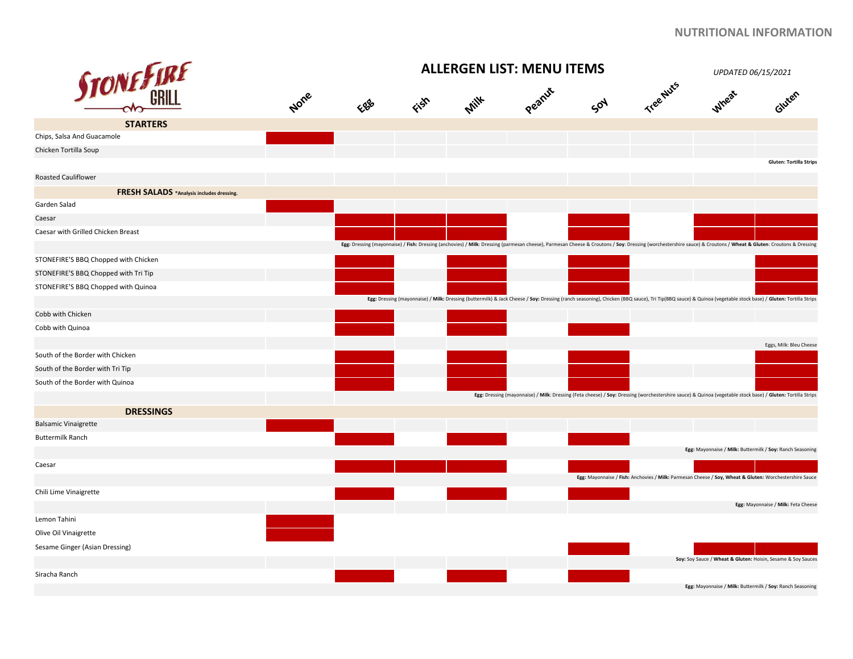|                                                  | <b>ALLERGEN LIST: MENU ITEMS</b><br>UPDATED 06/15/2021 |     |      |      |        |     |           |                                                                                                                                                                                                                 |                                     |
|--------------------------------------------------|--------------------------------------------------------|-----|------|------|--------|-----|-----------|-----------------------------------------------------------------------------------------------------------------------------------------------------------------------------------------------------------------|-------------------------------------|
| <b>STONE &amp; IRE</b>                           | None                                                   | EBB | Fish | Milk | Peanut | SON | Tree Nuts | Wheat                                                                                                                                                                                                           | Gluten                              |
| <b>STARTERS</b>                                  |                                                        |     |      |      |        |     |           |                                                                                                                                                                                                                 |                                     |
| Chips, Salsa And Guacamole                       |                                                        |     |      |      |        |     |           |                                                                                                                                                                                                                 |                                     |
| Chicken Tortilla Soup                            |                                                        |     |      |      |        |     |           |                                                                                                                                                                                                                 | <b>Gluten: Tortilla Strips</b>      |
| <b>Roasted Cauliflower</b>                       |                                                        |     |      |      |        |     |           |                                                                                                                                                                                                                 |                                     |
| <b>FRESH SALADS</b> *Analysis includes dressing. |                                                        |     |      |      |        |     |           |                                                                                                                                                                                                                 |                                     |
| Garden Salad                                     |                                                        |     |      |      |        |     |           |                                                                                                                                                                                                                 |                                     |
| Caesar                                           |                                                        |     |      |      |        |     |           |                                                                                                                                                                                                                 |                                     |
| Caesar with Grilled Chicken Breast               |                                                        |     |      |      |        |     |           |                                                                                                                                                                                                                 |                                     |
|                                                  |                                                        |     |      |      |        |     |           | Egg: Dressing (mayonnaise) / Fish: Dressing (anchovies) / Milk: Dressing (parmesan cheese), Parmesan Cheese & Croutons / Soy: Dressing (worchestershire sauce) & Croutons / Wheat & Gluten: Croutons & Dressing |                                     |
| STONEFIRE'S BBQ Chopped with Chicken             |                                                        |     |      |      |        |     |           |                                                                                                                                                                                                                 |                                     |
| STONEFIRE'S BBQ Chopped with Tri Tip             |                                                        |     |      |      |        |     |           |                                                                                                                                                                                                                 |                                     |
| STONEFIRE'S BBQ Chopped with Quinoa              |                                                        |     |      |      |        |     |           |                                                                                                                                                                                                                 |                                     |
|                                                  |                                                        |     |      |      |        |     |           | Egg: Dressing (mayonnaise) / Milk: Dressing (buttermilk) & Jack Cheese / Soy: Dressing (ranch seasoning), Chicken (BBQ sauce), Tri Tip(BBQ sauce) & Quinoa (vegetable stock base) / Gluten: Tortilla Strips     |                                     |
| Cobb with Chicken                                |                                                        |     |      |      |        |     |           |                                                                                                                                                                                                                 |                                     |
| Cobb with Quinoa                                 |                                                        |     |      |      |        |     |           |                                                                                                                                                                                                                 | Eggs, Milk: Bleu Cheese             |
| South of the Border with Chicken                 |                                                        |     |      |      |        |     |           |                                                                                                                                                                                                                 |                                     |
| South of the Border with Tri Tip                 |                                                        |     |      |      |        |     |           |                                                                                                                                                                                                                 |                                     |
| South of the Border with Quinoa                  |                                                        |     |      |      |        |     |           |                                                                                                                                                                                                                 |                                     |
|                                                  |                                                        |     |      |      |        |     |           | Egg: Dressing (mayonnaise) / Milk: Dressing (Feta cheese) / Soy: Dressing (worchestershire sauce) & Quinoa (vegetable stock base) / Gluten: Tortilla Strips                                                     |                                     |
| <b>DRESSINGS</b>                                 |                                                        |     |      |      |        |     |           |                                                                                                                                                                                                                 |                                     |
| <b>Balsamic Vinaigrette</b>                      |                                                        |     |      |      |        |     |           |                                                                                                                                                                                                                 |                                     |
| <b>Buttermilk Ranch</b>                          |                                                        |     |      |      |        |     |           |                                                                                                                                                                                                                 |                                     |
|                                                  |                                                        |     |      |      |        |     |           | Egg: Mayonnaise / Milk: Buttermilk / Soy: Ranch Seasoning                                                                                                                                                       |                                     |
| Caesar                                           |                                                        |     |      |      |        |     |           |                                                                                                                                                                                                                 |                                     |
|                                                  |                                                        |     |      |      |        |     |           | Egg: Mayonnaise / Fish: Anchovies / Milk: Parmesan Cheese / Soy, Wheat & Gluten: Worchestershire Sauce                                                                                                          |                                     |
| Chili Lime Vinaigrette                           |                                                        |     |      |      |        |     |           |                                                                                                                                                                                                                 |                                     |
|                                                  |                                                        |     |      |      |        |     |           |                                                                                                                                                                                                                 | Egg: Mayonnaise / Milk: Feta Cheese |
| Lemon Tahini                                     |                                                        |     |      |      |        |     |           |                                                                                                                                                                                                                 |                                     |
| Olive Oil Vinaigrette                            |                                                        |     |      |      |        |     |           |                                                                                                                                                                                                                 |                                     |
| Sesame Ginger (Asian Dressing)                   |                                                        |     |      |      |        |     |           |                                                                                                                                                                                                                 |                                     |
|                                                  |                                                        |     |      |      |        |     |           | Soy: Soy Sauce / Wheat & Gluten: Hoisin, Sesame & Soy Sauces                                                                                                                                                    |                                     |
| Siracha Ranch                                    |                                                        |     |      |      |        |     |           |                                                                                                                                                                                                                 |                                     |
|                                                  |                                                        |     |      |      |        |     |           | Egg: Mayonnaise / Milk: Buttermilk / Soy: Ranch Seasoning                                                                                                                                                       |                                     |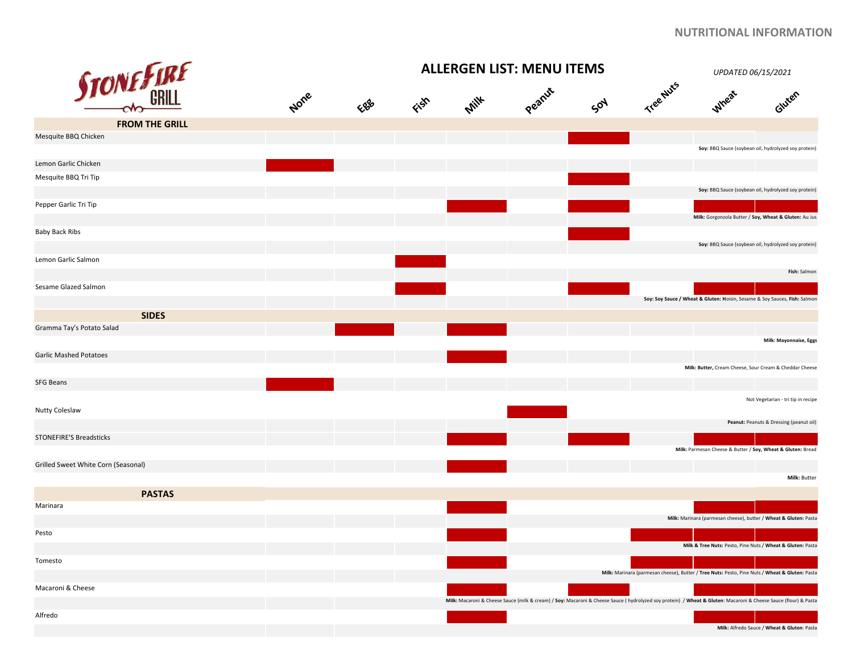|                                     |      |      |      | UPDATED 06/15/2021 |        |     |           |                                                                                                                                                                 |                                             |
|-------------------------------------|------|------|------|--------------------|--------|-----|-----------|-----------------------------------------------------------------------------------------------------------------------------------------------------------------|---------------------------------------------|
| <b>STONE FIRE</b>                   | None | Eggs | Fish | <b>Milk</b>        | Peanut | Soy | Tree Nuts | <b>Wheat</b>                                                                                                                                                    | Gluten                                      |
| <b>FROM THE GRILL</b>               |      |      |      |                    |        |     |           |                                                                                                                                                                 |                                             |
| Mesquite BBQ Chicken                |      |      |      |                    |        |     |           |                                                                                                                                                                 |                                             |
|                                     |      |      |      |                    |        |     |           | Soy: BBQ Sauce (soybean oil, hydrolyzed soy protein)                                                                                                            |                                             |
| Lemon Garlic Chicken                |      |      |      |                    |        |     |           |                                                                                                                                                                 |                                             |
| Mesquite BBQ Tri Tip                |      |      |      |                    |        |     |           | Soy: BBQ Sauce (soybean oil, hydrolyzed soy protein)                                                                                                            |                                             |
| Pepper Garlic Tri Tip               |      |      |      |                    |        |     |           |                                                                                                                                                                 |                                             |
|                                     |      |      |      |                    |        |     |           | Milk: Gorgonzola Butter / Soy, Wheat & Gluten: Au Jus                                                                                                           |                                             |
| Baby Back Ribs                      |      |      |      |                    |        |     |           |                                                                                                                                                                 |                                             |
| Lemon Garlic Salmon                 |      |      |      |                    |        |     |           | Soy: BBQ Sauce (soybean oil, hydrolyzed soy protein)                                                                                                            |                                             |
|                                     |      |      |      |                    |        |     |           |                                                                                                                                                                 | Fish: Salmon                                |
| Sesame Glazed Salmon                |      |      |      |                    |        |     |           | Soy: Soy Sauce / Wheat & Gluten: Hoisin, Sesame & Soy Sauces, Fish: Salmon                                                                                      |                                             |
| <b>SIDES</b>                        |      |      |      |                    |        |     |           |                                                                                                                                                                 |                                             |
| Gramma Tay's Potato Salad           |      |      |      |                    |        |     |           |                                                                                                                                                                 |                                             |
|                                     |      |      |      |                    |        |     |           |                                                                                                                                                                 | Milk: Mayonnaise, Eggs                      |
| <b>Garlic Mashed Potatoes</b>       |      |      |      |                    |        |     |           |                                                                                                                                                                 |                                             |
|                                     |      |      |      |                    |        |     |           | Milk: Butter, Cream Cheese, Sour Cream & Cheddar Cheese                                                                                                         |                                             |
| <b>SFG Beans</b>                    |      |      |      |                    |        |     |           |                                                                                                                                                                 |                                             |
| Nutty Coleslaw                      |      |      |      |                    |        |     |           |                                                                                                                                                                 | Not Vegetarian - tri tip in recipe          |
|                                     |      |      |      |                    |        |     |           |                                                                                                                                                                 | Peanut: Peanuts & Dressing (peanut oil)     |
| <b>STONEFIRE'S Breadsticks</b>      |      |      |      |                    |        |     |           | Milk: Parmesan Cheese & Butter / Soy, Wheat & Gluten: Bread                                                                                                     |                                             |
| Grilled Sweet White Corn (Seasonal) |      |      |      |                    |        |     |           |                                                                                                                                                                 |                                             |
|                                     |      |      |      |                    |        |     |           |                                                                                                                                                                 | Milk: Butter                                |
| <b>PASTAS</b>                       |      |      |      |                    |        |     |           |                                                                                                                                                                 |                                             |
| Marinara                            |      |      |      |                    |        |     |           |                                                                                                                                                                 |                                             |
|                                     |      |      |      |                    |        |     |           | Milk: Marinara (parmesan cheese), butter / Wheat & Gluten: Pasta                                                                                                |                                             |
| Pesto                               |      |      |      |                    |        |     |           | Milk & Tree Nuts: Pesto, Pine Nuts / Wheat & Gluten: Pasta                                                                                                      |                                             |
| Tomesto                             |      |      |      |                    |        |     |           |                                                                                                                                                                 |                                             |
|                                     |      |      |      |                    |        |     |           | Milk: Marinara (parmesan cheese), Butter / Tree Nuts: Pesto, Pine Nuts / Wheat & Gluten: Pasta                                                                  |                                             |
| Macaroni & Cheese                   |      |      |      |                    |        |     |           |                                                                                                                                                                 |                                             |
|                                     |      |      |      |                    |        |     |           | Milk: Macaroni & Cheese Sauce (milk & cream) / Soy: Macaroni & Cheese Sauce ( hydrolyzed soy protein) / Wheat & Gluten: Macaroni & Cheese Sauce (flour) & Pasta |                                             |
| Alfredo                             |      |      |      |                    |        |     |           |                                                                                                                                                                 |                                             |
|                                     |      |      |      |                    |        |     |           |                                                                                                                                                                 | Milk: Alfredo Sauce / Wheat & Gluten: Pasta |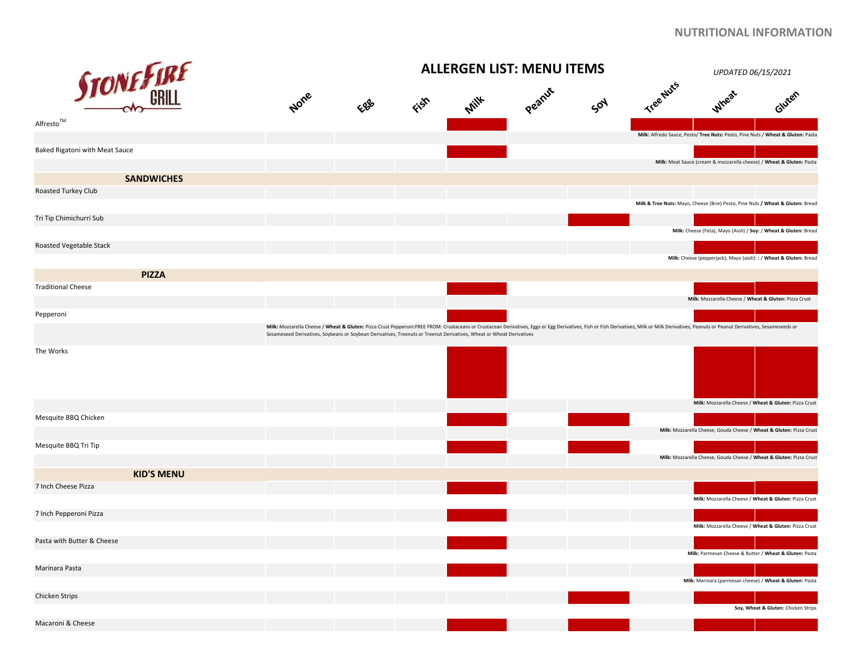|                                   |                   | <b>ALLERGEN LIST: MENU ITEMS</b>                                                                                     |     |      |  |             |     |                                                                                                                                                                                                                               |                                                                                 | UPDATED 06/15/2021                  |  |
|-----------------------------------|-------------------|----------------------------------------------------------------------------------------------------------------------|-----|------|--|-------------|-----|-------------------------------------------------------------------------------------------------------------------------------------------------------------------------------------------------------------------------------|---------------------------------------------------------------------------------|-------------------------------------|--|
|                                   | <b>STONE FIRE</b> | None                                                                                                                 | EBB | Fish |  | Mill Peanux | SON | Tree Nuts                                                                                                                                                                                                                     | Wheat                                                                           | Gluten                              |  |
| $\mathsf{Alfresto}^{\mathsf{TM}}$ |                   |                                                                                                                      |     |      |  |             |     |                                                                                                                                                                                                                               | Milk: Alfredo Sauce, Pesto/ Tree Nuts: Pesto, Pine Nuts / Wheat & Gluten: Pasta |                                     |  |
| Baked Rigatoni with Meat Sauce    |                   |                                                                                                                      |     |      |  |             |     |                                                                                                                                                                                                                               | Milk: Meat Sauce (cream & mozzarella cheese) / Wheat & Gluten: Pasta            |                                     |  |
|                                   | <b>SANDWICHES</b> |                                                                                                                      |     |      |  |             |     |                                                                                                                                                                                                                               |                                                                                 |                                     |  |
| Roasted Turkey Club               |                   |                                                                                                                      |     |      |  |             |     |                                                                                                                                                                                                                               | Milk & Tree Nuts: Mayo, Cheese (Brie) Pesto, Pine Nuts / Wheat & Gluten: Bread  |                                     |  |
| Tri Tip Chimichurri Sub           |                   |                                                                                                                      |     |      |  |             |     |                                                                                                                                                                                                                               |                                                                                 |                                     |  |
| Roasted Vegetable Stack           |                   |                                                                                                                      |     |      |  |             |     |                                                                                                                                                                                                                               | Milk: Cheese (Feta), Mayo (Aioli) / Soy: / Wheat & Gluten: Bread                |                                     |  |
|                                   |                   |                                                                                                                      |     |      |  |             |     |                                                                                                                                                                                                                               | Milk: Cheese (pepperjack), Mayo (aioli): : / Wheat & Gluten: Bread              |                                     |  |
|                                   | <b>PIZZA</b>      |                                                                                                                      |     |      |  |             |     |                                                                                                                                                                                                                               |                                                                                 |                                     |  |
| <b>Traditional Cheese</b>         |                   |                                                                                                                      |     |      |  |             |     |                                                                                                                                                                                                                               | Milk: Mozzarella Cheese / Wheat & Gluten: Pizza Crust                           |                                     |  |
|                                   |                   |                                                                                                                      |     |      |  |             |     |                                                                                                                                                                                                                               |                                                                                 |                                     |  |
| Pepperoni                         |                   | Sesameseed Derivatives, Soybeans or Soybean Derivatives, Treenuts or Treenut Derivatives, Wheat or Wheat Derivatives |     |      |  |             |     | Milk: Mozzarella Cheese / Wheat & Gluten: Pizza Crust Pepperoni:FREE FROM: Crustaceans or Crustacean Derivatives, Eggs or Egg Derivatives, Fish or Fish Derivatives, Milk or Milk Derivatives, Peanuts or Peanut Derivatives, |                                                                                 |                                     |  |
| The Works                         |                   |                                                                                                                      |     |      |  |             |     |                                                                                                                                                                                                                               |                                                                                 |                                     |  |
|                                   |                   |                                                                                                                      |     |      |  |             |     |                                                                                                                                                                                                                               | Milk: Mozzarella Cheese / Wheat & Gluten: Pizza Crust                           |                                     |  |
| Mesquite BBQ Chicken              |                   |                                                                                                                      |     |      |  |             |     |                                                                                                                                                                                                                               | Milk: Mozzarella Cheese, Gouda Cheese / Wheat & Gluten: Pizza Crust             |                                     |  |
| Mesquite BBQ Tri Tip              |                   |                                                                                                                      |     |      |  |             |     |                                                                                                                                                                                                                               | Milk: Mozzarella Cheese, Gouda Cheese / Wheat & Gluten: Pizza Crust             |                                     |  |
|                                   | <b>KID'S MENU</b> |                                                                                                                      |     |      |  |             |     |                                                                                                                                                                                                                               |                                                                                 |                                     |  |
| 7 Inch Cheese Pizza               |                   |                                                                                                                      |     |      |  |             |     |                                                                                                                                                                                                                               | Milk: Mozzarella Cheese / Wheat & Gluten: Pizza Crust                           |                                     |  |
| 7 Inch Pepperoni Pizza            |                   |                                                                                                                      |     |      |  |             |     |                                                                                                                                                                                                                               |                                                                                 |                                     |  |
| Pasta with Butter & Cheese        |                   |                                                                                                                      |     |      |  |             |     |                                                                                                                                                                                                                               | Milk: Mozzarella Cheese / Wheat & Gluten: Pizza Crust                           |                                     |  |
|                                   |                   |                                                                                                                      |     |      |  |             |     |                                                                                                                                                                                                                               | Milk: Parmesan Cheese & Butter / Wheat & Gluten: Pasta                          |                                     |  |
| Marinara Pasta                    |                   |                                                                                                                      |     |      |  |             |     |                                                                                                                                                                                                                               | Milk: Marinara (parmesan cheese) / Wheat & Gluten: Pasta                        |                                     |  |
| Chicken Strips                    |                   |                                                                                                                      |     |      |  |             |     |                                                                                                                                                                                                                               |                                                                                 |                                     |  |
|                                   |                   |                                                                                                                      |     |      |  |             |     |                                                                                                                                                                                                                               |                                                                                 | Soy, Wheat & Gluten: Chicken Strips |  |
| Macaroni & Cheese                 |                   |                                                                                                                      |     |      |  |             |     |                                                                                                                                                                                                                               |                                                                                 |                                     |  |